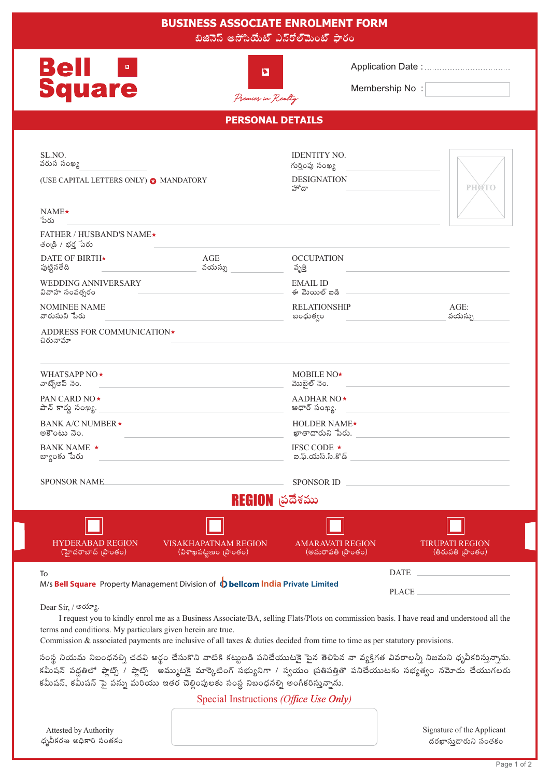| <b>BUSINESS ASSOCIATE ENROLMENT FORM</b><br>బిజినెస్ అసోసియేట్ ఎన్రోల్మెంట్ ఫారం                                                                                                                                                                                                                                                                                                                                                                                                                                                                                                          |                                                                                          |
|-------------------------------------------------------------------------------------------------------------------------------------------------------------------------------------------------------------------------------------------------------------------------------------------------------------------------------------------------------------------------------------------------------------------------------------------------------------------------------------------------------------------------------------------------------------------------------------------|------------------------------------------------------------------------------------------|
| <b>Bell</b><br>$\mathbf{B}_{\mathrm{c}}$<br>E<br><b>Square</b><br>Premier in Realty                                                                                                                                                                                                                                                                                                                                                                                                                                                                                                       | Membership No:                                                                           |
| <b>PERSONAL DETAILS</b>                                                                                                                                                                                                                                                                                                                                                                                                                                                                                                                                                                   |                                                                                          |
| SL.NO.<br>వరుస సంఖ్య<br>(USE CAPITAL LETTERS ONLY) @ MANDATORY<br>$NAME\star$                                                                                                                                                                                                                                                                                                                                                                                                                                                                                                             | <b>IDENTITY NO.</b><br>గుర్తింపు సంఖ్య<br><b>DESIGNATION</b><br><b>PHØTO</b><br>హోదా     |
| ేఎరు<br><b>FATHER / HUSBAND'S NAME★</b>                                                                                                                                                                                                                                                                                                                                                                                                                                                                                                                                                   |                                                                                          |
| తండ్రి / భర్త పేరు<br><b>DATE OF BIRTH*</b><br>AGE<br>వయస్సు<br>పుట్టినతేది<br>WEDDING ANNIVERSARY                                                                                                                                                                                                                                                                                                                                                                                                                                                                                        | <b>OCCUPATION</b><br>వృత్తి<br><b>EMAIL ID</b>                                           |
| వివాహ సంవత్సరం<br><b>NOMINEE NAME</b>                                                                                                                                                                                                                                                                                                                                                                                                                                                                                                                                                     | ఈ మెయిల్ ఐడి<br>$AGE$ :<br><b>RELATIONSHIP</b>                                           |
| వారుసుని పేరు<br>వయస్సు<br>బంధుత్వం<br>ADDRESS FOR COMMUNICATION*<br>చిరునామా                                                                                                                                                                                                                                                                                                                                                                                                                                                                                                             |                                                                                          |
| WHATSAPP NO <sup>*</sup><br>వాట్స్అప్ నెం.                                                                                                                                                                                                                                                                                                                                                                                                                                                                                                                                                | MOBILE NO*<br>మొబైల్ నెం.                                                                |
| PAN CARD NO★<br>పాన్ కార్మ సంఖ్య.                                                                                                                                                                                                                                                                                                                                                                                                                                                                                                                                                         | <b>AADHAR NO</b> ★<br>ఆధార్ సంఖ్య.                                                       |
| BANK A/C NUMBER *<br>అకౌంటు నెం.                                                                                                                                                                                                                                                                                                                                                                                                                                                                                                                                                          | HOLDER NAME*<br>ఖాతాదారుని పేరు.                                                         |
| BANK NAME *<br>బ్యాంకు పేరు                                                                                                                                                                                                                                                                                                                                                                                                                                                                                                                                                               | IFSC CODE $\star$                                                                        |
| <b>SPONSOR NAME</b>                                                                                                                                                                                                                                                                                                                                                                                                                                                                                                                                                                       | <b>SPONSOR ID</b>                                                                        |
| REGION త్రదేశము                                                                                                                                                                                                                                                                                                                                                                                                                                                                                                                                                                           |                                                                                          |
| <b>HYDERABAD REGION</b><br><b>VISAKHAPATNAM REGION</b><br>(హైదరాబాద్ [పాంతం)<br>(విశాఖపట్టణం (పాంతం)                                                                                                                                                                                                                                                                                                                                                                                                                                                                                      | <b>AMARAVATI REGION</b><br><b>TIRUPATI REGION</b><br>(అమరావతి బాంతం)<br>(తిరుపతి [పాంతం) |
| $\begin{tabular}{ c c c c } \hline \multicolumn{3}{ c }{\textbf{DATE}} & \multicolumn{3}{ c }{\textbf{AATE}}\\ \hline \multicolumn{3}{ c }{\textbf{DATE}} & \multicolumn{3}{ c }{\textbf{AATE}}\\ \hline \multicolumn{3}{ c }{\textbf{DATE}} & \multicolumn{3}{ c }{\textbf{AATE}}\\ \hline \multicolumn{3}{ c }{\textbf{DATE}} & \multicolumn{3}{ c }{\textbf{AATE}}\\ \hline \multicolumn{3}{ c }{\textbf{AATE}} & \multicolumn{3}{ c }{\textbf{AATE}}$<br>To<br>M/s Bell Square Property Management Division of (D bellcom India Private Limited<br><b>PLACE</b><br>Dear Sir, / అయ్యా. |                                                                                          |
|                                                                                                                                                                                                                                                                                                                                                                                                                                                                                                                                                                                           |                                                                                          |
| సంస్థ నియమ నిబంధనల్ని చదవి అర్థం చేసుకొని వాటికి కట్టుబడి పనిచేయుటకై పైన తెలిపిన నా వ్యక్తిగత వివరాలన్నీ నిజమని ధృవీకరిస్తున్నాను.<br>కమీషన్ పద్ధతిలో ఫ్లాట్స్ / ప్లాట్స్ అమ్ముటకై మార్కెటింగ్ సభ్యునిగా / స్వయం ప్రతిపత్తితొ పనిచేయుటకు సభ్యత్వం నమోదు చేయుగలరు<br>కమీషన్, కమీషన్ పై పన్ను మరియు ఇతర చెల్లింపులకు సంస్థ నిబంధనల్ని అంగీకరిస్తున్నాను.                                                                                                                                                                                                                                    |                                                                                          |

Special Instructions (Office Use Only)



Signature of the Applicant దరఖాస్తుదారుని సంతకం